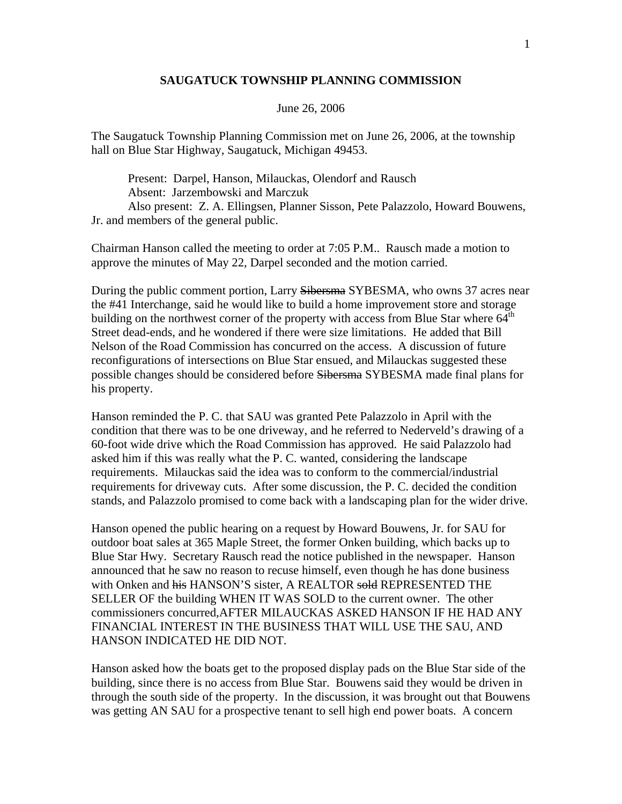## **SAUGATUCK TOWNSHIP PLANNING COMMISSION**

## June 26, 2006

The Saugatuck Township Planning Commission met on June 26, 2006, at the township hall on Blue Star Highway, Saugatuck, Michigan 49453.

 Present: Darpel, Hanson, Milauckas, Olendorf and Rausch Absent: Jarzembowski and Marczuk Also present: Z. A. Ellingsen, Planner Sisson, Pete Palazzolo, Howard Bouwens, Jr. and members of the general public.

Chairman Hanson called the meeting to order at 7:05 P.M.. Rausch made a motion to approve the minutes of May 22, Darpel seconded and the motion carried.

During the public comment portion, Larry Sibersma SYBESMA, who owns 37 acres near the #41 Interchange, said he would like to build a home improvement store and storage building on the northwest corner of the property with access from Blue Star where 64<sup>th</sup> Street dead-ends, and he wondered if there were size limitations. He added that Bill Nelson of the Road Commission has concurred on the access. A discussion of future reconfigurations of intersections on Blue Star ensued, and Milauckas suggested these possible changes should be considered before Sibersma SYBESMA made final plans for his property.

Hanson reminded the P. C. that SAU was granted Pete Palazzolo in April with the condition that there was to be one driveway, and he referred to Nederveld's drawing of a 60-foot wide drive which the Road Commission has approved. He said Palazzolo had asked him if this was really what the P. C. wanted, considering the landscape requirements. Milauckas said the idea was to conform to the commercial/industrial requirements for driveway cuts. After some discussion, the P. C. decided the condition stands, and Palazzolo promised to come back with a landscaping plan for the wider drive.

Hanson opened the public hearing on a request by Howard Bouwens, Jr. for SAU for outdoor boat sales at 365 Maple Street, the former Onken building, which backs up to Blue Star Hwy. Secretary Rausch read the notice published in the newspaper. Hanson announced that he saw no reason to recuse himself, even though he has done business with Onken and his HANSON'S sister, A REALTOR sold REPRESENTED THE SELLER OF the building WHEN IT WAS SOLD to the current owner. The other commissioners concurred,AFTER MILAUCKAS ASKED HANSON IF HE HAD ANY FINANCIAL INTEREST IN THE BUSINESS THAT WILL USE THE SAU, AND HANSON INDICATED HE DID NOT.

Hanson asked how the boats get to the proposed display pads on the Blue Star side of the building, since there is no access from Blue Star. Bouwens said they would be driven in through the south side of the property. In the discussion, it was brought out that Bouwens was getting AN SAU for a prospective tenant to sell high end power boats. A concern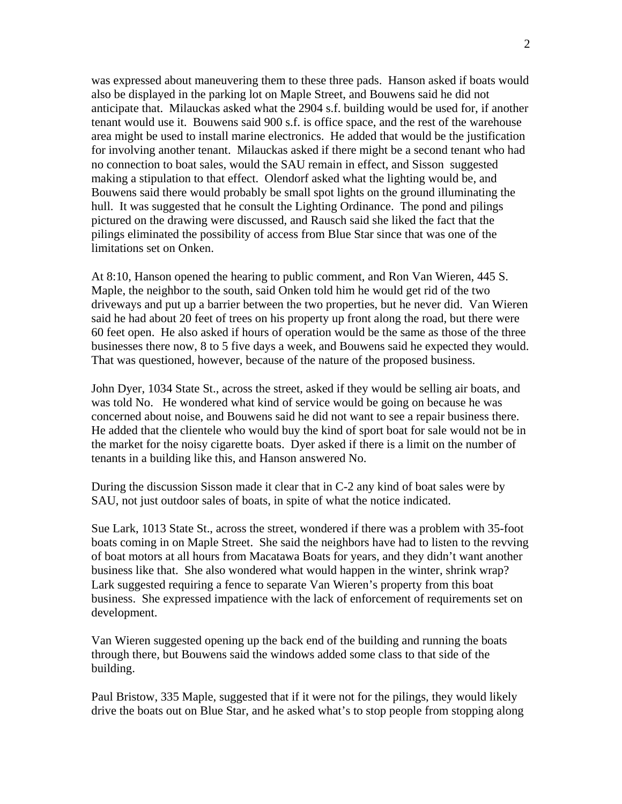was expressed about maneuvering them to these three pads. Hanson asked if boats would also be displayed in the parking lot on Maple Street, and Bouwens said he did not anticipate that. Milauckas asked what the 2904 s.f. building would be used for, if another tenant would use it. Bouwens said 900 s.f. is office space, and the rest of the warehouse area might be used to install marine electronics. He added that would be the justification for involving another tenant. Milauckas asked if there might be a second tenant who had no connection to boat sales, would the SAU remain in effect, and Sisson suggested making a stipulation to that effect. Olendorf asked what the lighting would be, and Bouwens said there would probably be small spot lights on the ground illuminating the hull. It was suggested that he consult the Lighting Ordinance. The pond and pilings pictured on the drawing were discussed, and Rausch said she liked the fact that the pilings eliminated the possibility of access from Blue Star since that was one of the limitations set on Onken.

At 8:10, Hanson opened the hearing to public comment, and Ron Van Wieren, 445 S. Maple, the neighbor to the south, said Onken told him he would get rid of the two driveways and put up a barrier between the two properties, but he never did. Van Wieren said he had about 20 feet of trees on his property up front along the road, but there were 60 feet open. He also asked if hours of operation would be the same as those of the three businesses there now, 8 to 5 five days a week, and Bouwens said he expected they would. That was questioned, however, because of the nature of the proposed business.

John Dyer, 1034 State St., across the street, asked if they would be selling air boats, and was told No. He wondered what kind of service would be going on because he was concerned about noise, and Bouwens said he did not want to see a repair business there. He added that the clientele who would buy the kind of sport boat for sale would not be in the market for the noisy cigarette boats. Dyer asked if there is a limit on the number of tenants in a building like this, and Hanson answered No.

During the discussion Sisson made it clear that in C-2 any kind of boat sales were by SAU, not just outdoor sales of boats, in spite of what the notice indicated.

Sue Lark, 1013 State St., across the street, wondered if there was a problem with 35-foot boats coming in on Maple Street. She said the neighbors have had to listen to the revving of boat motors at all hours from Macatawa Boats for years, and they didn't want another business like that. She also wondered what would happen in the winter, shrink wrap? Lark suggested requiring a fence to separate Van Wieren's property from this boat business. She expressed impatience with the lack of enforcement of requirements set on development.

Van Wieren suggested opening up the back end of the building and running the boats through there, but Bouwens said the windows added some class to that side of the building.

Paul Bristow, 335 Maple, suggested that if it were not for the pilings, they would likely drive the boats out on Blue Star, and he asked what's to stop people from stopping along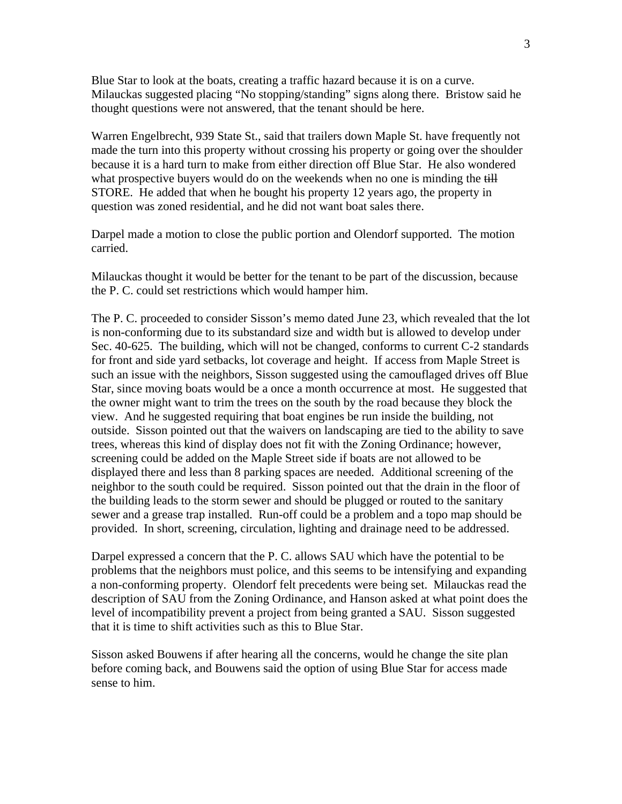Blue Star to look at the boats, creating a traffic hazard because it is on a curve. Milauckas suggested placing "No stopping/standing" signs along there. Bristow said he thought questions were not answered, that the tenant should be here.

Warren Engelbrecht, 939 State St., said that trailers down Maple St. have frequently not made the turn into this property without crossing his property or going over the shoulder because it is a hard turn to make from either direction off Blue Star. He also wondered what prospective buyers would do on the weekends when no one is minding the  $\frac{dH}{dt}$ STORE. He added that when he bought his property 12 years ago, the property in question was zoned residential, and he did not want boat sales there.

Darpel made a motion to close the public portion and Olendorf supported. The motion carried.

Milauckas thought it would be better for the tenant to be part of the discussion, because the P. C. could set restrictions which would hamper him.

The P. C. proceeded to consider Sisson's memo dated June 23, which revealed that the lot is non-conforming due to its substandard size and width but is allowed to develop under Sec. 40-625. The building, which will not be changed, conforms to current C-2 standards for front and side yard setbacks, lot coverage and height. If access from Maple Street is such an issue with the neighbors, Sisson suggested using the camouflaged drives off Blue Star, since moving boats would be a once a month occurrence at most. He suggested that the owner might want to trim the trees on the south by the road because they block the view. And he suggested requiring that boat engines be run inside the building, not outside. Sisson pointed out that the waivers on landscaping are tied to the ability to save trees, whereas this kind of display does not fit with the Zoning Ordinance; however, screening could be added on the Maple Street side if boats are not allowed to be displayed there and less than 8 parking spaces are needed. Additional screening of the neighbor to the south could be required. Sisson pointed out that the drain in the floor of the building leads to the storm sewer and should be plugged or routed to the sanitary sewer and a grease trap installed. Run-off could be a problem and a topo map should be provided. In short, screening, circulation, lighting and drainage need to be addressed.

Darpel expressed a concern that the P. C. allows SAU which have the potential to be problems that the neighbors must police, and this seems to be intensifying and expanding a non-conforming property. Olendorf felt precedents were being set. Milauckas read the description of SAU from the Zoning Ordinance, and Hanson asked at what point does the level of incompatibility prevent a project from being granted a SAU. Sisson suggested that it is time to shift activities such as this to Blue Star.

Sisson asked Bouwens if after hearing all the concerns, would he change the site plan before coming back, and Bouwens said the option of using Blue Star for access made sense to him.